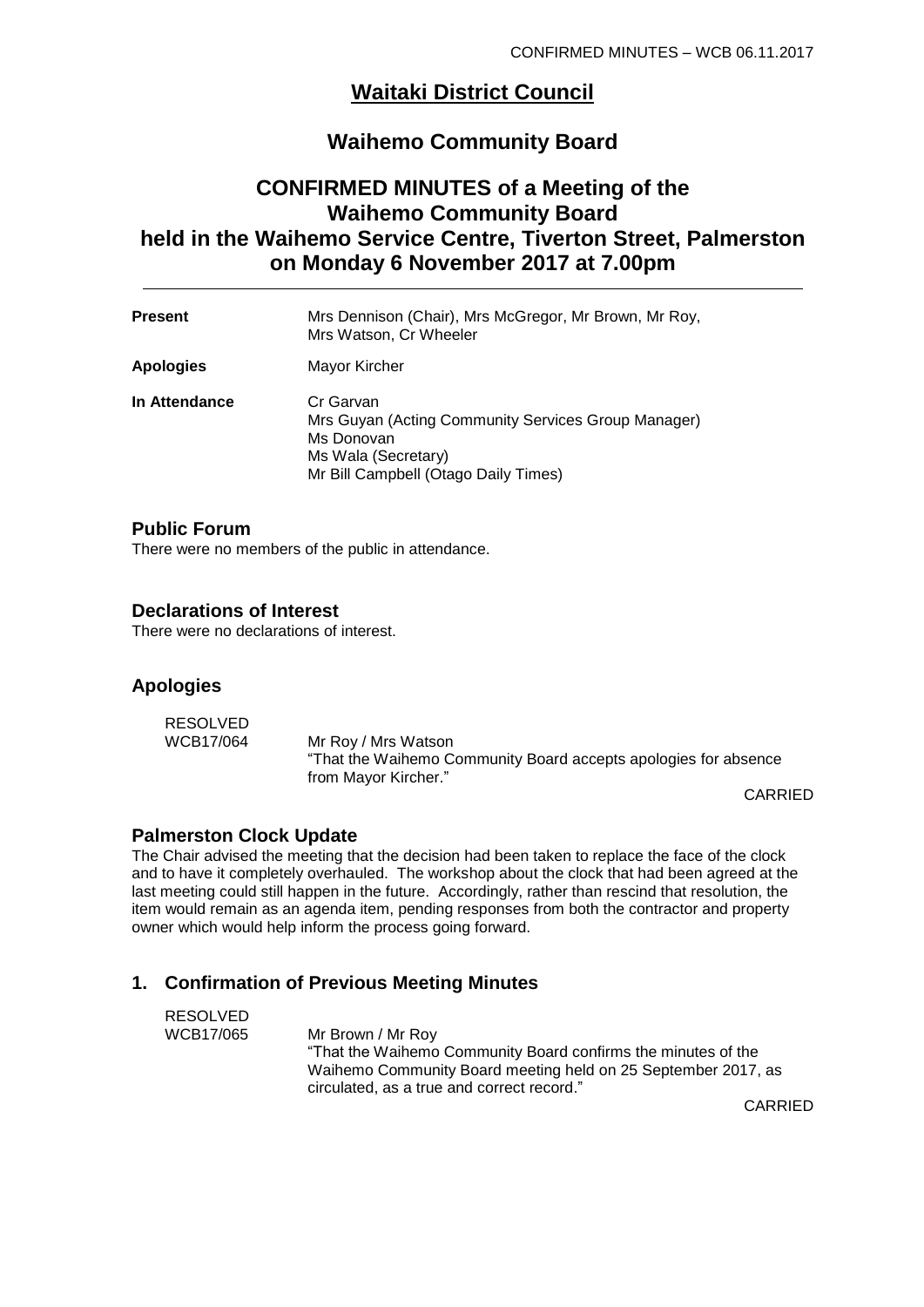## **Waitaki District Council**

## **Waihemo Community Board**

## **CONFIRMED MINUTES of a Meeting of the Waihemo Community Board held in the Waihemo Service Centre, Tiverton Street, Palmerston on Monday 6 November 2017 at 7.00pm**

| <b>Present</b>   | Mrs Dennison (Chair), Mrs McGregor, Mr Brown, Mr Roy,<br>Mrs Watson, Cr Wheeler                                                               |
|------------------|-----------------------------------------------------------------------------------------------------------------------------------------------|
| <b>Apologies</b> | Mayor Kircher                                                                                                                                 |
| In Attendance    | Cr Garvan<br>Mrs Guyan (Acting Community Services Group Manager)<br>Ms Donovan<br>Ms Wala (Secretary)<br>Mr Bill Campbell (Otago Daily Times) |

#### **Public Forum**

There were no members of the public in attendance.

#### **Declarations of Interest**

There were no declarations of interest.

#### **Apologies**

| RESOLVED  |                                                                 |
|-----------|-----------------------------------------------------------------|
| WCB17/064 | Mr Roy / Mrs Watson                                             |
|           | "That the Waihemo Community Board accepts apologies for absence |
|           | from Mayor Kircher."                                            |

CARRIED

#### **Palmerston Clock Update**

The Chair advised the meeting that the decision had been taken to replace the face of the clock and to have it completely overhauled. The workshop about the clock that had been agreed at the last meeting could still happen in the future. Accordingly, rather than rescind that resolution, the item would remain as an agenda item, pending responses from both the contractor and property owner which would help inform the process going forward.

### **1. Confirmation of Previous Meeting Minutes**

| <b>RESOLVED</b> |                                                               |
|-----------------|---------------------------------------------------------------|
| WCB17/065       | Mr Brown / Mr Roy                                             |
|                 | "That the Waihemo Community Board confirms the minutes of the |
|                 | Waihemo Community Board meeting held on 25 September 2017, as |
|                 | circulated, as a true and correct record."                    |

CARRIED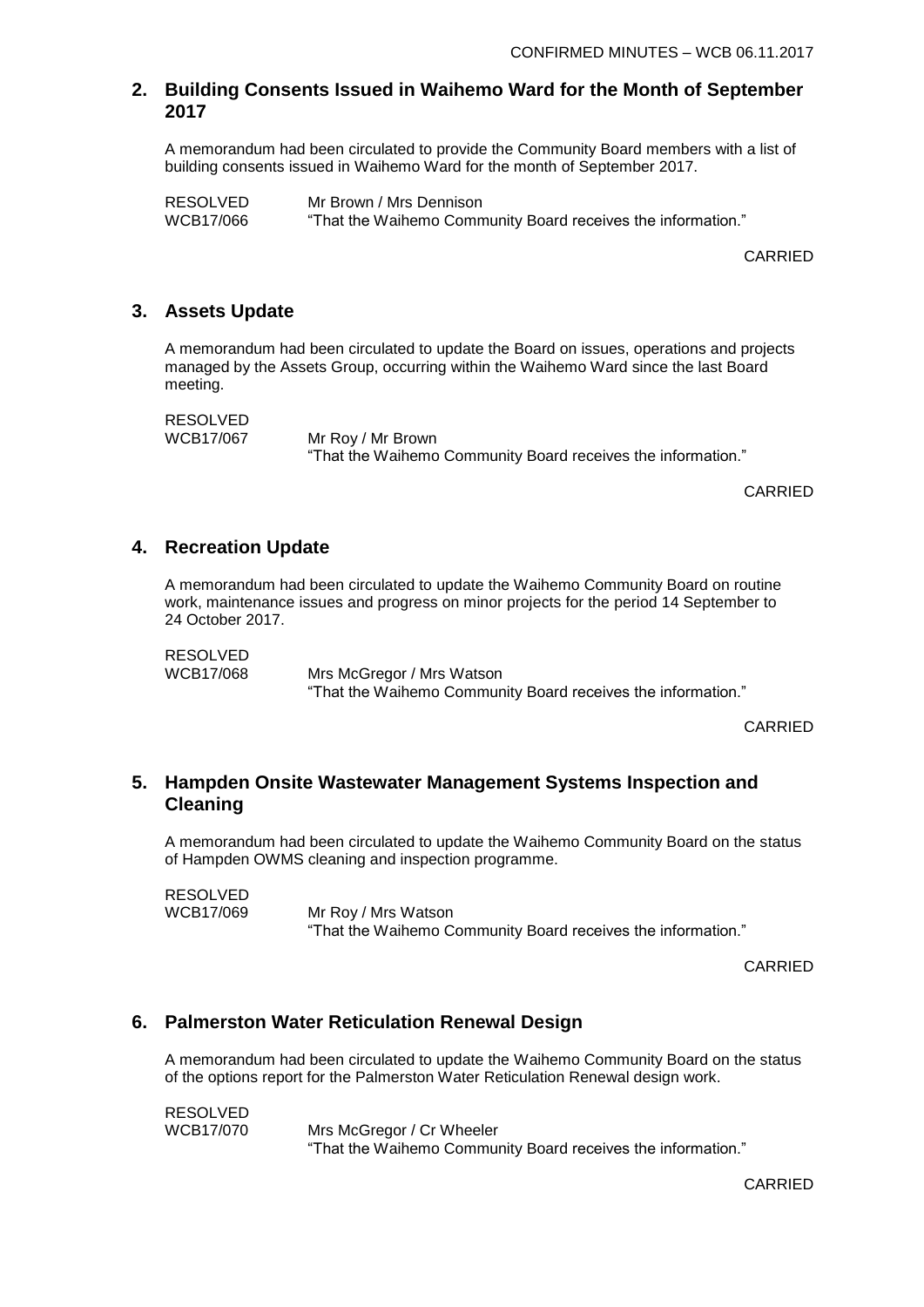## **2. Building Consents Issued in Waihemo Ward for the Month of September 2017**

A memorandum had been circulated to provide the Community Board members with a list of building consents issued in Waihemo Ward for the month of September 2017.

RESOLVED Mr Brown / Mrs Dennison "That the Waihemo Community Board receives the information."

CARRIED

## **3. Assets Update**

A memorandum had been circulated to update the Board on issues, operations and projects managed by the Assets Group, occurring within the Waihemo Ward since the last Board meeting.

RESOLVED<br>WCB17/067

Mr Roy / Mr Brown "That the Waihemo Community Board receives the information."

CARRIED

## **4. Recreation Update**

A memorandum had been circulated to update the Waihemo Community Board on routine work, maintenance issues and progress on minor projects for the period 14 September to 24 October 2017.

RESOLVED WCB17/068 Mrs McGregor / Mrs Watson "That the Waihemo Community Board receives the information."

CARRIED

## **5. Hampden Onsite Wastewater Management Systems Inspection and Cleaning**

A memorandum had been circulated to update the Waihemo Community Board on the status of Hampden OWMS cleaning and inspection programme.

RESOLVED<br>WCB17/069

Mr Roy / Mrs Watson "That the Waihemo Community Board receives the information."

CARRIED

## **6. Palmerston Water Reticulation Renewal Design**

A memorandum had been circulated to update the Waihemo Community Board on the status of the options report for the Palmerston Water Reticulation Renewal design work.

RESOLVED<br>WCB17/070 Mrs McGregor / Cr Wheeler "That the Waihemo Community Board receives the information."

CARRIED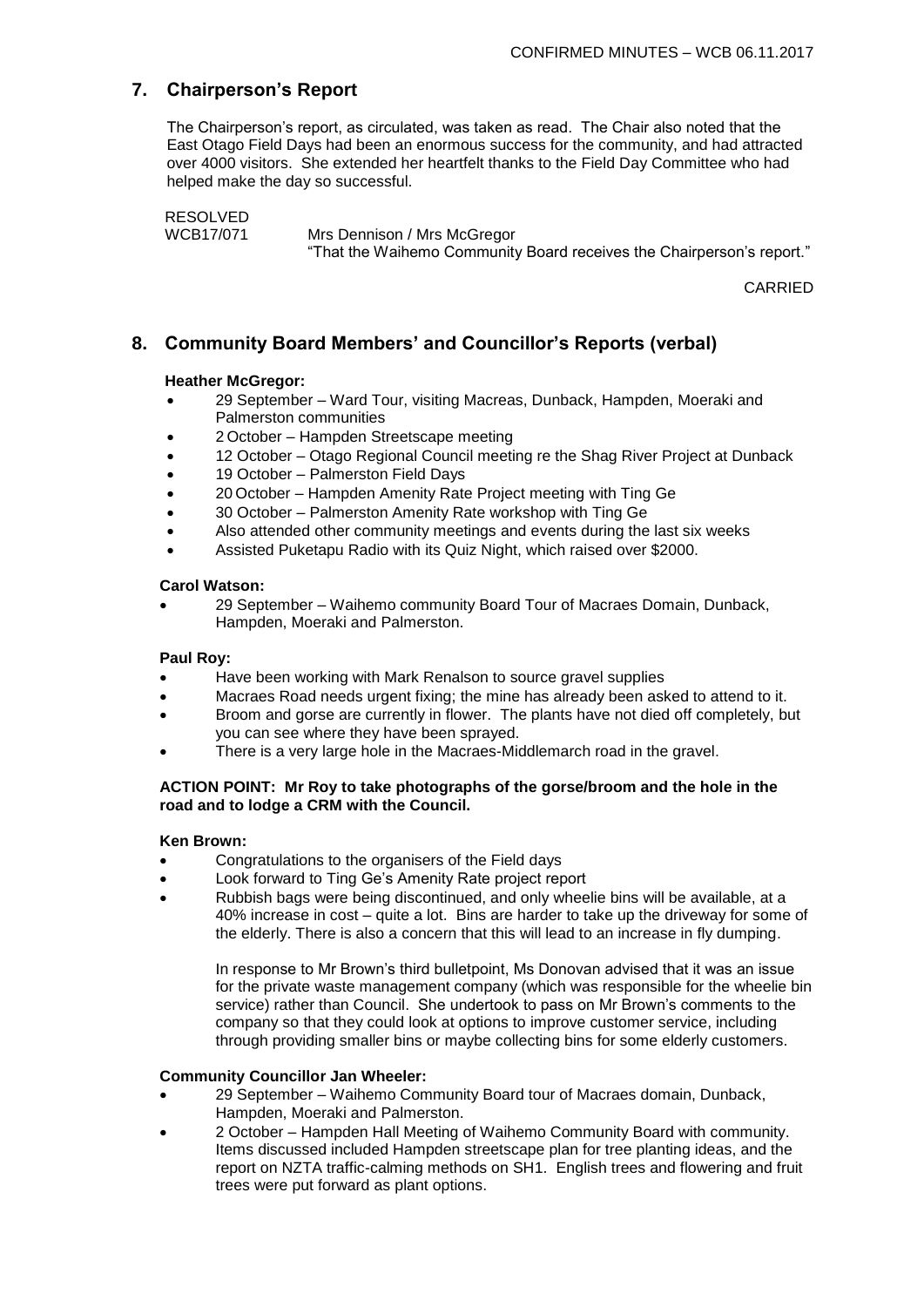## **7. Chairperson's Report**

The Chairperson's report, as circulated, was taken as read. The Chair also noted that the East Otago Field Days had been an enormous success for the community, and had attracted over 4000 visitors. She extended her heartfelt thanks to the Field Day Committee who had helped make the day so successful.

```
RESOLVED<br>WCB17/071
```
Mrs Dennison / Mrs McGregor "That the Waihemo Community Board receives the Chairperson's report."

CARRIED

## **8. Community Board Members' and Councillor's Reports (verbal)**

#### **Heather McGregor:**

- 29 September Ward Tour, visiting Macreas, Dunback, Hampden, Moeraki and Palmerston communities
- 2 October Hampden Streetscape meeting
- 12 October Otago Regional Council meeting re the Shag River Project at Dunback
- 19 October Palmerston Field Days
- 20 October Hampden Amenity Rate Project meeting with Ting Ge
- 30 October Palmerston Amenity Rate workshop with Ting Ge
- Also attended other community meetings and events during the last six weeks
- Assisted Puketapu Radio with its Quiz Night, which raised over \$2000.

#### **Carol Watson:**

 29 September – Waihemo community Board Tour of Macraes Domain, Dunback, Hampden, Moeraki and Palmerston.

#### **Paul Roy:**

- Have been working with Mark Renalson to source gravel supplies
- Macraes Road needs urgent fixing; the mine has already been asked to attend to it.
- Broom and gorse are currently in flower. The plants have not died off completely, but you can see where they have been sprayed.
- There is a very large hole in the Macraes-Middlemarch road in the gravel.

#### **ACTION POINT: Mr Roy to take photographs of the gorse/broom and the hole in the road and to lodge a CRM with the Council.**

#### **Ken Brown:**

- Congratulations to the organisers of the Field days
- Look forward to Ting Ge's Amenity Rate project report
- Rubbish bags were being discontinued, and only wheelie bins will be available, at a 40% increase in cost – quite a lot. Bins are harder to take up the driveway for some of the elderly. There is also a concern that this will lead to an increase in fly dumping.

In response to Mr Brown's third bulletpoint, Ms Donovan advised that it was an issue for the private waste management company (which was responsible for the wheelie bin service) rather than Council. She undertook to pass on Mr Brown's comments to the company so that they could look at options to improve customer service, including through providing smaller bins or maybe collecting bins for some elderly customers.

#### **Community Councillor Jan Wheeler:**

- 29 September Waihemo Community Board tour of Macraes domain, Dunback, Hampden, Moeraki and Palmerston.
- 2 October Hampden Hall Meeting of Waihemo Community Board with community. Items discussed included Hampden streetscape plan for tree planting ideas, and the report on NZTA traffic-calming methods on SH1. English trees and flowering and fruit trees were put forward as plant options.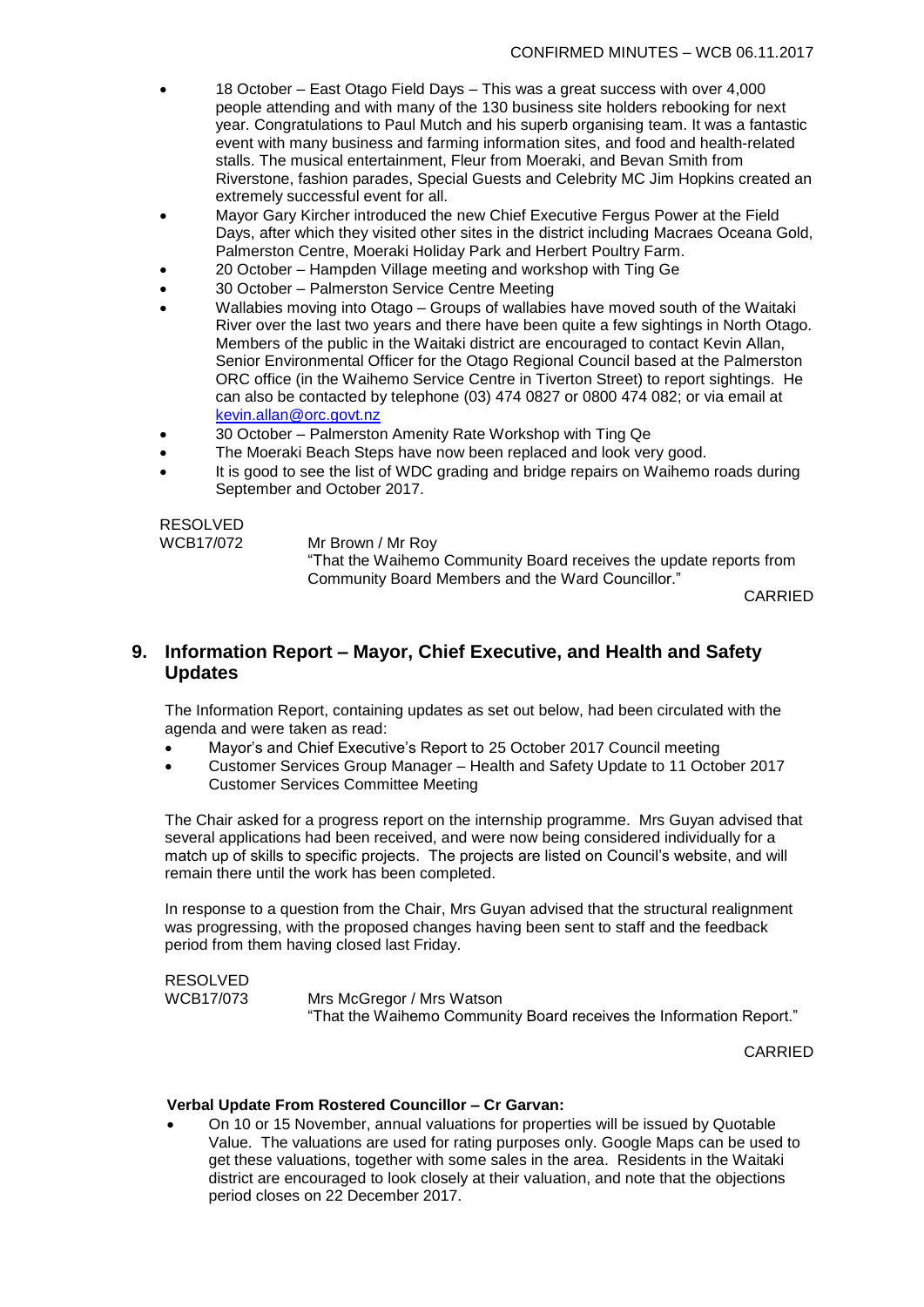- 18 October East Otago Field Days This was a great success with over 4,000 people attending and with many of the 130 business site holders rebooking for next year. Congratulations to Paul Mutch and his superb organising team. It was a fantastic event with many business and farming information sites, and food and health-related stalls. The musical entertainment, Fleur from Moeraki, and Bevan Smith from Riverstone, fashion parades, Special Guests and Celebrity MC Jim Hopkins created an extremely successful event for all.
- Mayor Gary Kircher introduced the new Chief Executive Fergus Power at the Field Days, after which they visited other sites in the district including Macraes Oceana Gold, Palmerston Centre, Moeraki Holiday Park and Herbert Poultry Farm.
- 20 October Hampden Village meeting and workshop with Ting Ge
- 30 October Palmerston Service Centre Meeting
- Wallabies moving into Otago Groups of wallabies have moved south of the Waitaki River over the last two years and there have been quite a few sightings in North Otago. Members of the public in the Waitaki district are encouraged to contact Kevin Allan, Senior Environmental Officer for the Otago Regional Council based at the Palmerston ORC office (in the Waihemo Service Centre in Tiverton Street) to report sightings. He can also be contacted by telephone (03) 474 0827 or 0800 474 082; or via email at [kevin.allan@orc.govt.nz](mailto:kevin.allan@orc.govt.nz)
- 30 October Palmerston Amenity Rate Workshop with Ting Qe
- The Moeraki Beach Steps have now been replaced and look very good.
- It is good to see the list of WDC grading and bridge repairs on Waihemo roads during September and October 2017.

# RESOLVED<br>WCB17/072

Mr Brown / Mr Roy "That the Waihemo Community Board receives the update reports from Community Board Members and the Ward Councillor."

CARRIED

## **9. Information Report – Mayor, Chief Executive, and Health and Safety Updates**

The Information Report, containing updates as set out below, had been circulated with the agenda and were taken as read:

- Mayor's and Chief Executive's Report to 25 October 2017 Council meeting
- Customer Services Group Manager Health and Safety Update to 11 October 2017 Customer Services Committee Meeting

The Chair asked for a progress report on the internship programme. Mrs Guyan advised that several applications had been received, and were now being considered individually for a match up of skills to specific projects. The projects are listed on Council's website, and will remain there until the work has been completed.

In response to a question from the Chair, Mrs Guyan advised that the structural realignment was progressing, with the proposed changes having been sent to staff and the feedback period from them having closed last Friday.

RESOLVED WCB17/073 Mrs McGregor / Mrs Watson "That the Waihemo Community Board receives the Information Report."

CARRIED

#### **Verbal Update From Rostered Councillor – Cr Garvan:**

 On 10 or 15 November, annual valuations for properties will be issued by Quotable Value. The valuations are used for rating purposes only. Google Maps can be used to get these valuations, together with some sales in the area. Residents in the Waitaki district are encouraged to look closely at their valuation, and note that the objections period closes on 22 December 2017.